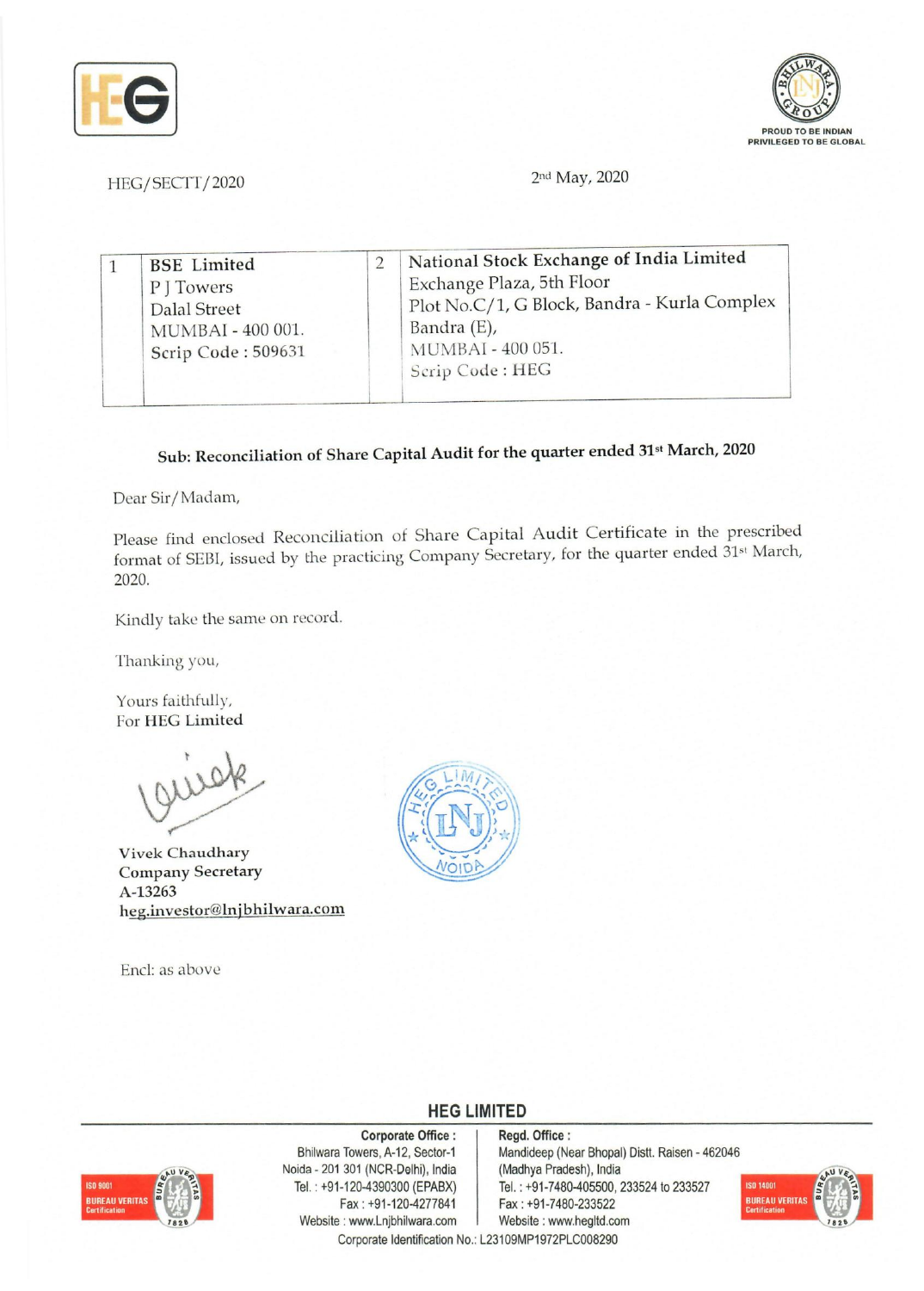



HEG/SECTT/2020 2nd May, 2020

| Exchange Plaza, 5th Floor<br>P J Towers<br><b>Dalal Street</b><br>Bandra (E),<br>MUMBAI - 400 001.<br>MUMBAI - 400 051.<br>Scrip Code: 509631<br>Scrip Code: HEG |  | <b>BSE</b> Limited |  | National Stock Exchange of India Limited<br>Plot No.C/1, G Block, Bandra - Kurla Complex |  |
|------------------------------------------------------------------------------------------------------------------------------------------------------------------|--|--------------------|--|------------------------------------------------------------------------------------------|--|
|------------------------------------------------------------------------------------------------------------------------------------------------------------------|--|--------------------|--|------------------------------------------------------------------------------------------|--|

# Sub: Reconciliation of Share Capital Audit for the quarter ended 31st March, 2020

Dear Sir/Madam,

Please find enclosed Reconciliation of Share Capital Audit Certificate in the prescribed format of SEBI, issued by the practicing Company Secretary, for the quarter ended 31st March, 2020.

Kindly take the same on record.

Thanking you,

Yours faithfully, For HEG Limited

Vivek Chaudhary Company Secretary A-13263 heg.investor@lnjbhilwara.com

End: as above



## **HEG LIMITED**

### Corporate Office: | Regd. Office:



Noida - 201 301 (NCR-Delhi), India (Madhya Pradesh), India Website: www.Lnjbhilwara.com Corporate Identification No.: L23109MP1972PLC008290

Bhilwara Towers, A-12, Sector-1 Mandideep (Near Bhopal) Distt. Raisen - 462046 Tel. : +91-120-4390300 (EPABX)<br>Fax : +91-7480-405500, 233524 to 233527<br>Fax : +91-7480-233522 Fax: +91-7480-233522<br>Website: www.hegltd.com

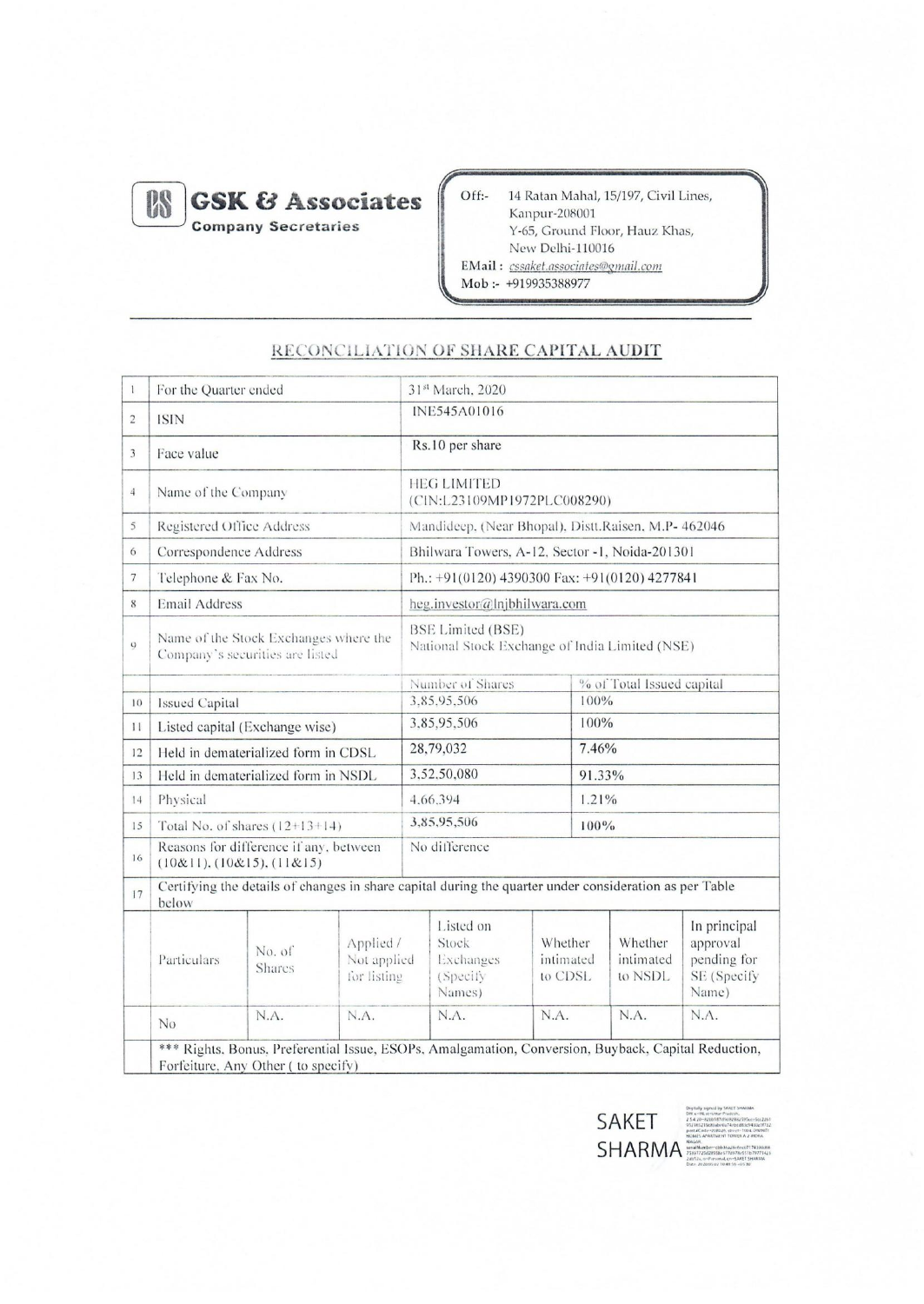

**GSK & Associates Company Secretaries** 

Off:-14 Ratan Mahal, 15/197, Civil Lines, Kanpur-208001 Y-65, Ground Floor, Hauz Khas, New Delhi-110016 EMail: cssaket.associates@gmail.com Mob :- +919935388977

#### For the Quarter ended 31st March, 2020  $\mathbf{1}$ INE545A01016  $\overline{c}$ **ISIN** Rs.10 per share  $\overline{3}$ Face value **HEG LIMITED**  $\sqrt{4}$ Name of the Company (CIN:L23109MP1972PLC008290) 5 Registered Office Address Mandideep. (Near Bhopal), Distt.Raisen, M.P- 462046 Bhilwara Towers, A-12, Sector -1, Noida-201301 6 Correspondence Address  $\overline{7}$ Ph.: +91(0120) 4390300 Fax: +91(0120) 4277841 Telephone & Fax No. **Email Address**  $\,$  8  $\,$ heg.investor@lnjbhilwara.com **BSE Limited (BSE)** Name of the Stock Exchanges where the  $\overline{Q}$ National Stock Exchange of India Limited (NSE) Company's securities are listed Number of Shares % of Total Issued capital 3.85.95,506 100% Issued Capital  $10$ 3,85,95,506 100% Listed capital (Exchange wise)  $11$ 28,79,032 7.46%  $12$ Held in dematerialized form in CDSL 3,52,50,080 Held in dematerialized form in NSDL 91.33%  $13$  $14$ Physical 4,66,394  $1.21%$ 3,85,95,506  $100\%$  $15$ Total No. of shares  $(12+13+14)$ Reasons for difference if any, between No difference  $16$  $(10&11), (10&15), (11&15)$ Certifying the details of changes in share capital during the quarter under consideration as per Table  $17$ below In principal Listed on Whether Applied / Stock Whether approval No. of Particulars intimated intimated Not applied Exchanges pending for Shares for listing (Specify to CDSL to NSDL SE (Specify Name) Names) N.A. N.A. N.A. N.A. N.A. N.A.  $No$ \*\*\* Rights, Bonus, Preferential Issue, ESOPs, Amalgamation, Conversion, Buyback, Capital Reduction, Forfeiture, Any Other (to specify)

# RECONCILIATION OF SHARE CAPITAL AUDIT